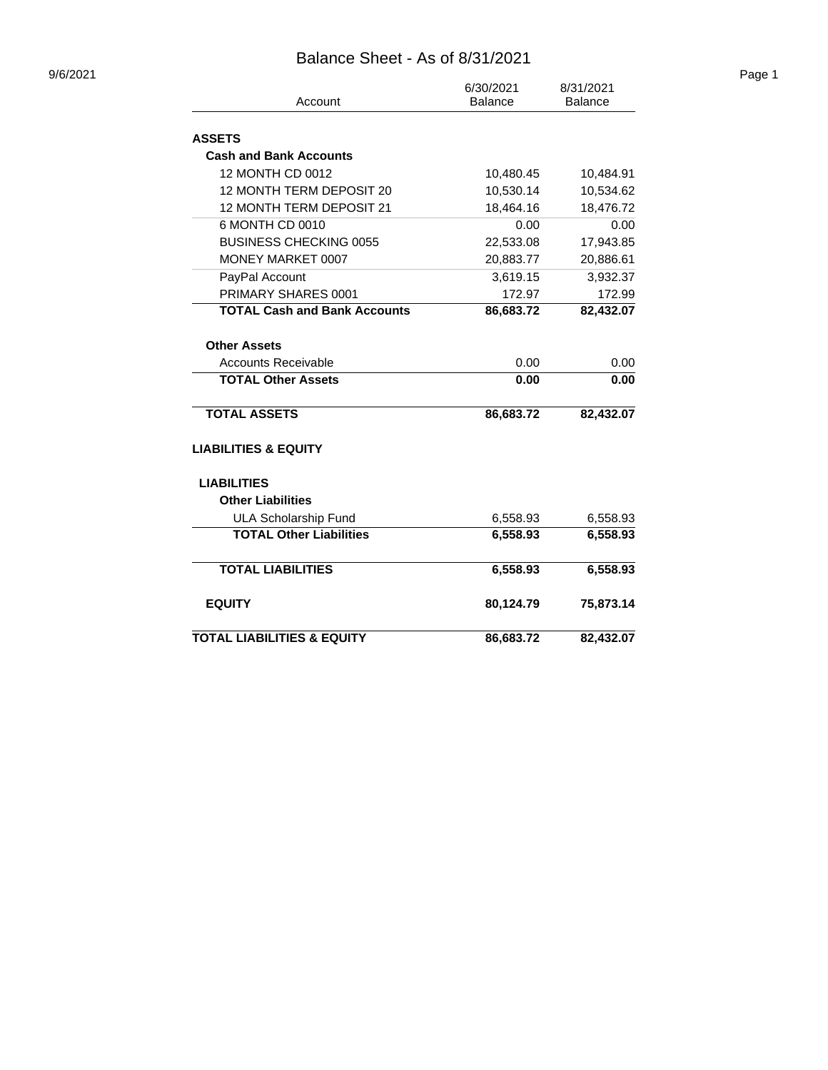## Balance Sheet - As of 8/31/2021

| Account                               | 6/30/2021<br><b>Balance</b> | 8/31/2021<br><b>Balance</b> |  |  |
|---------------------------------------|-----------------------------|-----------------------------|--|--|
|                                       |                             |                             |  |  |
| <b>ASSETS</b>                         |                             |                             |  |  |
| <b>Cash and Bank Accounts</b>         |                             |                             |  |  |
| 12 MONTH CD 0012                      | 10,480.45                   | 10,484.91                   |  |  |
| 12 MONTH TERM DEPOSIT 20              | 10,530.14                   | 10,534.62                   |  |  |
| 12 MONTH TERM DEPOSIT 21              | 18,464.16                   | 18,476.72                   |  |  |
| 6 MONTH CD 0010                       | 0.00                        | 0.00                        |  |  |
| <b>BUSINESS CHECKING 0055</b>         | 22,533.08                   | 17,943.85                   |  |  |
| MONEY MARKET 0007                     | 20,883.77                   | 20,886.61                   |  |  |
| PayPal Account                        | 3,619.15                    | 3,932.37                    |  |  |
| PRIMARY SHARES 0001                   | 172.97                      | 172.99                      |  |  |
| <b>TOTAL Cash and Bank Accounts</b>   | 86,683.72                   | 82,432.07                   |  |  |
| <b>Other Assets</b>                   |                             |                             |  |  |
| <b>Accounts Receivable</b>            | 0.00                        | 0.00                        |  |  |
| <b>TOTAL Other Assets</b>             | 0.00                        | 0.00                        |  |  |
| <b>TOTAL ASSETS</b>                   | 86,683.72                   | 82,432.07                   |  |  |
| <b>LIABILITIES &amp; EQUITY</b>       |                             |                             |  |  |
| <b>LIABILITIES</b>                    |                             |                             |  |  |
| <b>Other Liabilities</b>              |                             |                             |  |  |
| <b>ULA Scholarship Fund</b>           | 6,558.93                    | 6,558.93                    |  |  |
| <b>TOTAL Other Liabilities</b>        | 6,558.93                    | 6,558.93                    |  |  |
| <b>TOTAL LIABILITIES</b>              | 6,558.93                    | 6,558.93                    |  |  |
| <b>EQUITY</b>                         | 80,124.79                   | 75,873.14                   |  |  |
| <b>TOTAL LIABILITIES &amp; EQUITY</b> | 86,683.72                   | 82,432.07                   |  |  |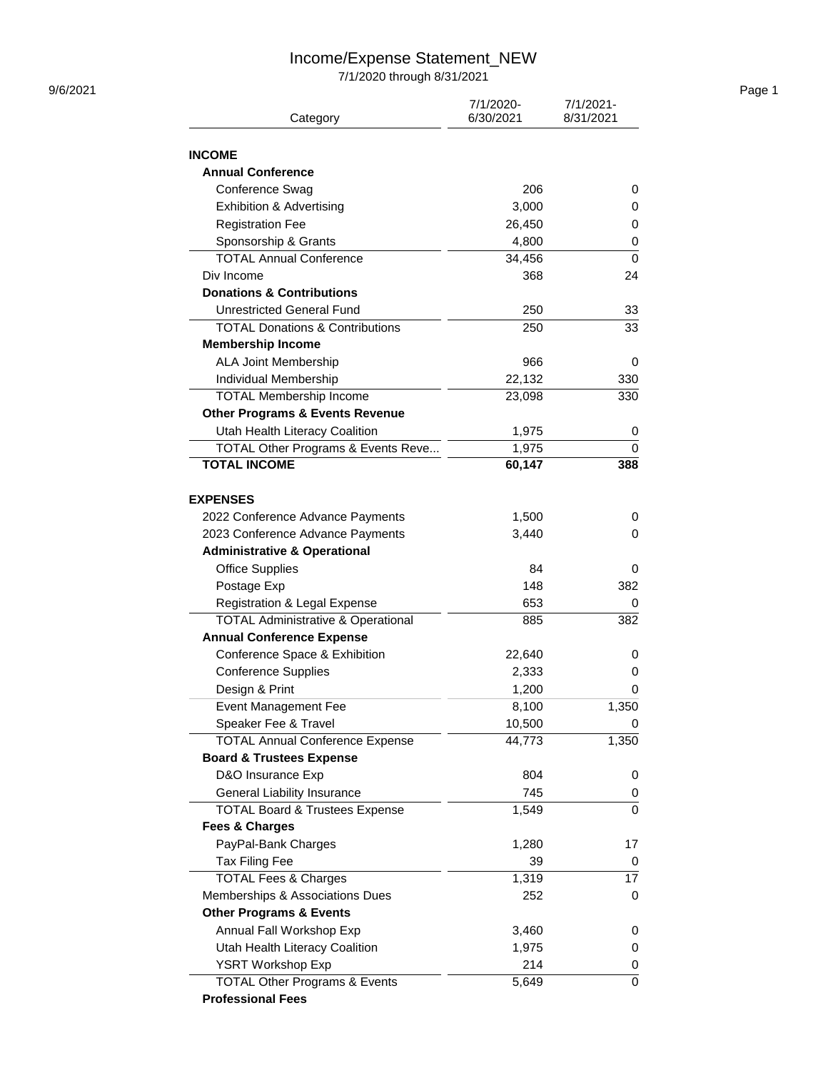#### Income/Expense Statement\_NEW

7/1/2020 through 8/31/2021

| 9/6/2021 |                                               |                        |                        | Page 1 |
|----------|-----------------------------------------------|------------------------|------------------------|--------|
|          | Category                                      | 7/1/2020-<br>6/30/2021 | 7/1/2021-<br>8/31/2021 |        |
|          | <b>INCOME</b>                                 |                        |                        |        |
|          | <b>Annual Conference</b>                      |                        |                        |        |
|          | Conference Swag                               | 206                    | 0                      |        |
|          | <b>Exhibition &amp; Advertising</b>           | 3,000                  | 0                      |        |
|          | <b>Registration Fee</b>                       | 26,450                 | 0                      |        |
|          | Sponsorship & Grants                          | 4,800                  | 0                      |        |
|          | <b>TOTAL Annual Conference</b>                | 34,456                 | 0                      |        |
|          | Div Income                                    | 368                    | 24                     |        |
|          | <b>Donations &amp; Contributions</b>          |                        |                        |        |
|          | <b>Unrestricted General Fund</b>              | 250                    | 33                     |        |
|          | <b>TOTAL Donations &amp; Contributions</b>    | 250                    | 33                     |        |
|          | <b>Membership Income</b>                      |                        |                        |        |
|          | <b>ALA Joint Membership</b>                   | 966                    | 0                      |        |
|          |                                               |                        |                        |        |
|          | Individual Membership                         | 22,132                 | 330                    |        |
|          | <b>TOTAL Membership Income</b>                | 23,098                 | 330                    |        |
|          | <b>Other Programs &amp; Events Revenue</b>    |                        |                        |        |
|          | Utah Health Literacy Coalition                | 1,975                  | 0                      |        |
|          | TOTAL Other Programs & Events Reve            | 1,975                  | 0                      |        |
|          | <b>TOTAL INCOME</b>                           | 60,147                 | 388                    |        |
|          | <b>EXPENSES</b>                               |                        |                        |        |
|          | 2022 Conference Advance Payments              | 1,500                  | 0                      |        |
|          | 2023 Conference Advance Payments              | 3,440                  | 0                      |        |
|          | <b>Administrative &amp; Operational</b>       |                        |                        |        |
|          | <b>Office Supplies</b>                        | 84                     | 0                      |        |
|          | Postage Exp                                   | 148                    | 382                    |        |
|          | Registration & Legal Expense                  | 653                    | 0                      |        |
|          | <b>TOTAL Administrative &amp; Operational</b> | 885                    | 382                    |        |
|          | <b>Annual Conference Expense</b>              |                        |                        |        |
|          | Conference Space & Exhibition                 | 22,640                 | 0                      |        |
|          | <b>Conference Supplies</b>                    | 2,333                  | 0                      |        |
|          | Design & Print                                | 1,200                  | 0                      |        |
|          | <b>Event Management Fee</b>                   | 8,100                  | 1,350                  |        |
|          | Speaker Fee & Travel                          | 10,500                 | 0                      |        |
|          | <b>TOTAL Annual Conference Expense</b>        | 44,773                 | 1,350                  |        |
|          | <b>Board &amp; Trustees Expense</b>           |                        |                        |        |
|          | D&O Insurance Exp                             | 804                    | 0                      |        |
|          | General Liability Insurance                   | 745                    | 0                      |        |
|          | <b>TOTAL Board &amp; Trustees Expense</b>     | 1,549                  | 0                      |        |
|          | <b>Fees &amp; Charges</b>                     |                        |                        |        |
|          | PayPal-Bank Charges                           | 1,280                  | 17                     |        |
|          | Tax Filing Fee                                | 39                     | 0                      |        |
|          | <b>TOTAL Fees &amp; Charges</b>               | 1,319                  | 17                     |        |
|          | Memberships & Associations Dues               | 252                    | 0                      |        |
|          | <b>Other Programs &amp; Events</b>            |                        |                        |        |
|          | Annual Fall Workshop Exp                      | 3,460                  | 0                      |        |
|          | Utah Health Literacy Coalition                | 1,975                  | 0                      |        |
|          | YSRT Workshop Exp                             | 214                    | 0                      |        |
|          | <b>TOTAL Other Programs &amp; Events</b>      | 5,649                  | 0                      |        |
|          | <b>Professional Fees</b>                      |                        |                        |        |
|          |                                               |                        |                        |        |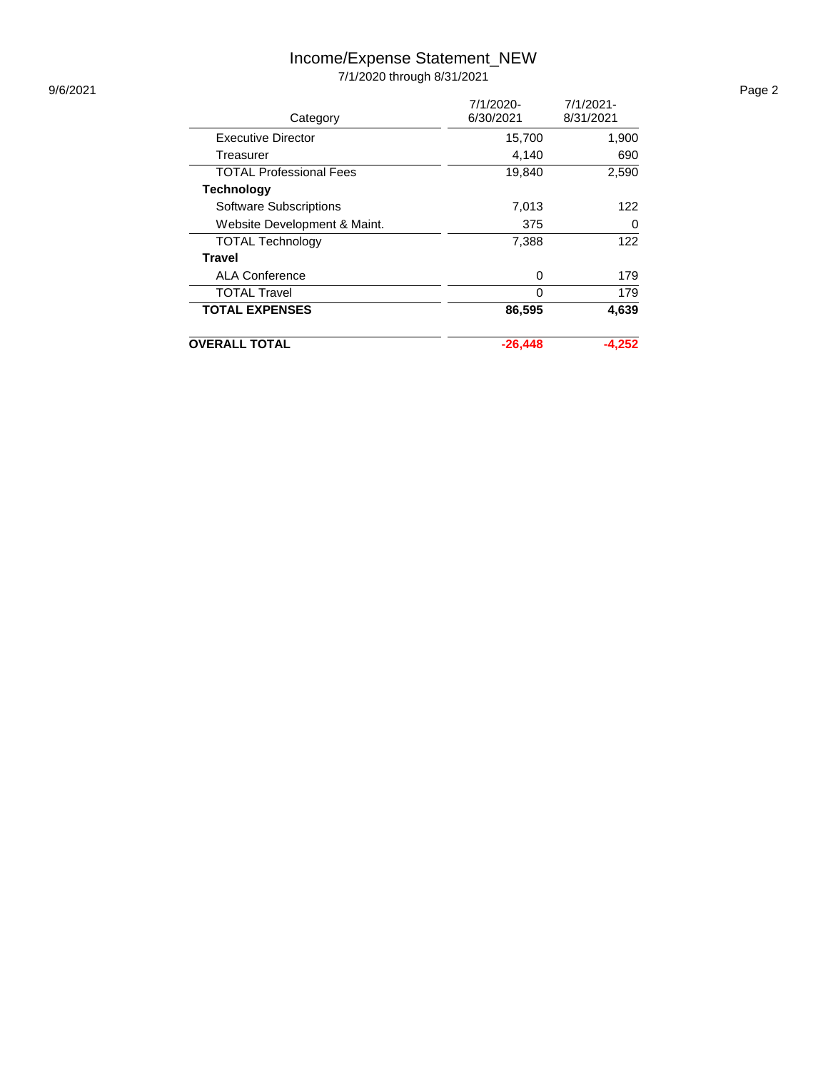# Income/Expense Statement\_NEW

7/1/2020 through 8/31/2021

|                                | 7/1/2020- | $7/1/2021 -$ |
|--------------------------------|-----------|--------------|
| Category                       | 6/30/2021 | 8/31/2021    |
| Executive Director             | 15,700    | 1,900        |
| Treasurer                      | 4,140     | 690          |
| <b>TOTAL Professional Fees</b> | 19,840    | 2,590        |
| <b>Technology</b>              |           |              |
| <b>Software Subscriptions</b>  | 7,013     | 122          |
| Website Development & Maint.   | 375       | 0            |
| <b>TOTAL Technology</b>        | 7,388     | 122          |
| <b>Travel</b>                  |           |              |
| <b>ALA Conference</b>          | 0         | 179          |
| <b>TOTAL Travel</b>            | O         | 179          |
| <b>TOTAL EXPENSES</b>          | 86,595    | 4,639        |
| <b>OVERALL TOTAL</b>           | $-26.448$ | $-4.252$     |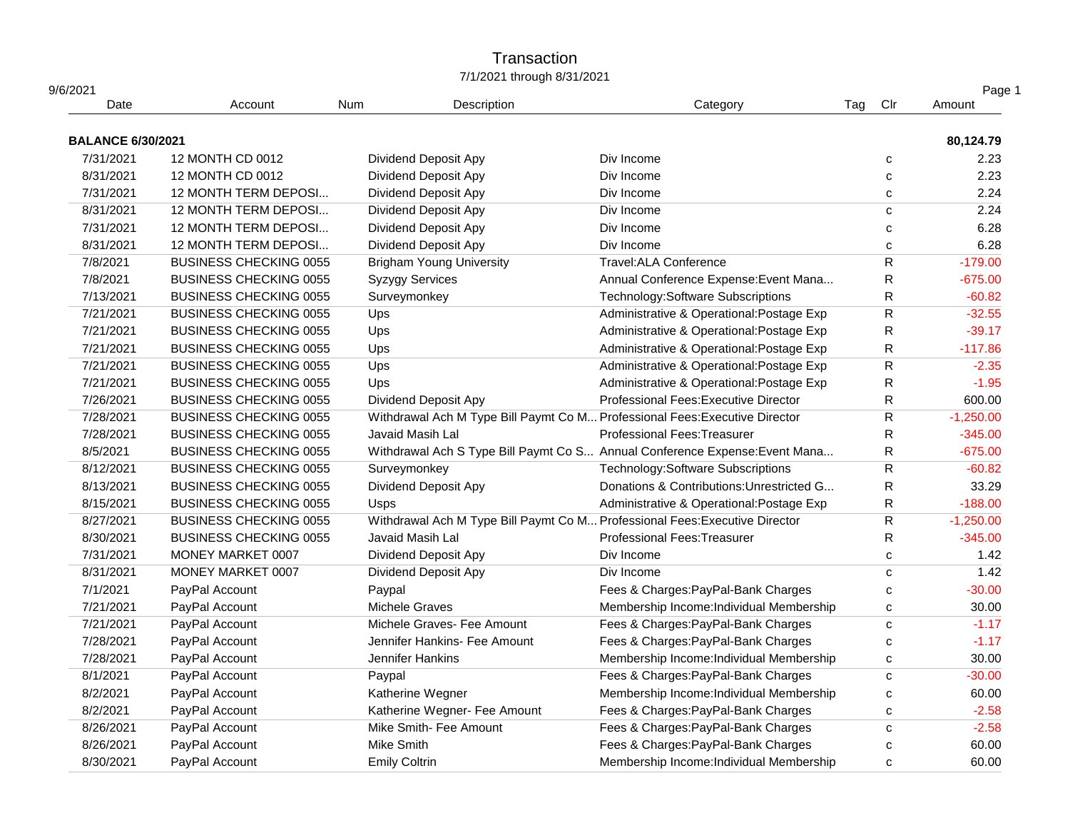## **Transaction** 7/1/2021 through 8/31/2021

| 9/6/2021                 |                               |                      |                                 |                                                                             |     |              | Page 1      |
|--------------------------|-------------------------------|----------------------|---------------------------------|-----------------------------------------------------------------------------|-----|--------------|-------------|
| Date                     | Account                       | Num                  | Description                     | Category                                                                    | Tag | Clr          | Amount      |
| <b>BALANCE 6/30/2021</b> |                               |                      |                                 |                                                                             |     |              | 80,124.79   |
| 7/31/2021                | 12 MONTH CD 0012              |                      | Dividend Deposit Apy            | Div Income                                                                  |     | C            | 2.23        |
| 8/31/2021                | 12 MONTH CD 0012              |                      | Dividend Deposit Apy            | Div Income                                                                  |     | $\mathbf c$  | 2.23        |
| 7/31/2021                | 12 MONTH TERM DEPOSI          |                      | Dividend Deposit Apy            | Div Income                                                                  |     | C            | 2.24        |
| 8/31/2021                | 12 MONTH TERM DEPOSI          |                      | Dividend Deposit Apy            | Div Income                                                                  |     | C            | 2.24        |
| 7/31/2021                | 12 MONTH TERM DEPOSI          |                      | <b>Dividend Deposit Apy</b>     | Div Income                                                                  |     | C            | 6.28        |
| 8/31/2021                | 12 MONTH TERM DEPOSI          |                      | Dividend Deposit Apy            | Div Income                                                                  |     | C            | 6.28        |
| 7/8/2021                 | <b>BUSINESS CHECKING 0055</b> |                      | <b>Brigham Young University</b> | Travel:ALA Conference                                                       |     | ${\sf R}$    | $-179.00$   |
| 7/8/2021                 | <b>BUSINESS CHECKING 0055</b> |                      | <b>Syzygy Services</b>          | Annual Conference Expense: Event Mana                                       |     | R            | $-675.00$   |
| 7/13/2021                | <b>BUSINESS CHECKING 0055</b> |                      | Surveymonkey                    | Technology: Software Subscriptions                                          |     | R            | $-60.82$    |
| 7/21/2021                | <b>BUSINESS CHECKING 0055</b> | Ups                  |                                 | Administrative & Operational: Postage Exp                                   |     | $\mathsf R$  | $-32.55$    |
| 7/21/2021                | <b>BUSINESS CHECKING 0055</b> | Ups                  |                                 | Administrative & Operational: Postage Exp                                   |     | ${\sf R}$    | $-39.17$    |
| 7/21/2021                | <b>BUSINESS CHECKING 0055</b> | Ups                  |                                 | Administrative & Operational: Postage Exp                                   |     | ${\sf R}$    | $-117.86$   |
| 7/21/2021                | <b>BUSINESS CHECKING 0055</b> | Ups                  |                                 | Administrative & Operational: Postage Exp                                   |     | ${\sf R}$    | $-2.35$     |
| 7/21/2021                | <b>BUSINESS CHECKING 0055</b> | Ups                  |                                 | Administrative & Operational: Postage Exp                                   |     | ${\sf R}$    | $-1.95$     |
| 7/26/2021                | <b>BUSINESS CHECKING 0055</b> |                      | Dividend Deposit Apy            | Professional Fees: Executive Director                                       |     | R            | 600.00      |
| 7/28/2021                | <b>BUSINESS CHECKING 0055</b> |                      |                                 | Withdrawal Ach M Type Bill Paymt Co M Professional Fees: Executive Director |     | ${\sf R}$    | $-1,250.00$ |
| 7/28/2021                | <b>BUSINESS CHECKING 0055</b> |                      | Javaid Masih Lal                | <b>Professional Fees: Treasurer</b>                                         |     | R            | $-345.00$   |
| 8/5/2021                 | <b>BUSINESS CHECKING 0055</b> |                      |                                 | Withdrawal Ach S Type Bill Paymt Co S Annual Conference Expense: Event Mana |     | R            | $-675.00$   |
| 8/12/2021                | <b>BUSINESS CHECKING 0055</b> |                      | Surveymonkey                    | Technology: Software Subscriptions                                          |     | ${\sf R}$    | $-60.82$    |
| 8/13/2021                | <b>BUSINESS CHECKING 0055</b> |                      | Dividend Deposit Apy            | Donations & Contributions: Unrestricted G                                   |     | ${\sf R}$    | 33.29       |
| 8/15/2021                | <b>BUSINESS CHECKING 0055</b> | <b>Usps</b>          |                                 | Administrative & Operational: Postage Exp                                   |     | R            | $-188.00$   |
| 8/27/2021                | <b>BUSINESS CHECKING 0055</b> |                      |                                 | Withdrawal Ach M Type Bill Paymt Co M Professional Fees: Executive Director |     | R.           | $-1,250.00$ |
| 8/30/2021                | <b>BUSINESS CHECKING 0055</b> |                      | Javaid Masih Lal                | <b>Professional Fees: Treasurer</b>                                         |     | R            | $-345.00$   |
| 7/31/2021                | MONEY MARKET 0007             |                      | Dividend Deposit Apy            | Div Income                                                                  |     | C            | 1.42        |
| 8/31/2021                | MONEY MARKET 0007             |                      | Dividend Deposit Apy            | Div Income                                                                  |     | $\mathbf{C}$ | 1.42        |
| 7/1/2021                 | PayPal Account                | Paypal               |                                 | Fees & Charges: PayPal-Bank Charges                                         |     | C            | $-30.00$    |
| 7/21/2021                | PayPal Account                |                      | Michele Graves                  | Membership Income: Individual Membership                                    |     | с            | 30.00       |
| 7/21/2021                | PayPal Account                |                      | Michele Graves- Fee Amount      | Fees & Charges: PayPal-Bank Charges                                         |     | $\mathbf{C}$ | $-1.17$     |
| 7/28/2021                | PayPal Account                |                      | Jennifer Hankins- Fee Amount    | Fees & Charges: PayPal-Bank Charges                                         |     | $\mathbf{C}$ | $-1.17$     |
| 7/28/2021                | PayPal Account                |                      | Jennifer Hankins                | Membership Income: Individual Membership                                    |     | C            | 30.00       |
| 8/1/2021                 | PayPal Account                | Paypal               |                                 | Fees & Charges: PayPal-Bank Charges                                         |     | C            | $-30.00$    |
| 8/2/2021                 | PayPal Account                |                      | Katherine Wegner                | Membership Income: Individual Membership                                    |     | C            | 60.00       |
| 8/2/2021                 | PayPal Account                |                      | Katherine Wegner- Fee Amount    | Fees & Charges: PayPal-Bank Charges                                         |     | C            | $-2.58$     |
| 8/26/2021                | PayPal Account                |                      | Mike Smith- Fee Amount          | Fees & Charges: PayPal-Bank Charges                                         |     | C            | $-2.58$     |
| 8/26/2021                | PayPal Account                | Mike Smith           |                                 | Fees & Charges: PayPal-Bank Charges                                         |     | c            | 60.00       |
| 8/30/2021                | PayPal Account                | <b>Emily Coltrin</b> |                                 | Membership Income: Individual Membership                                    |     | C            | 60.00       |